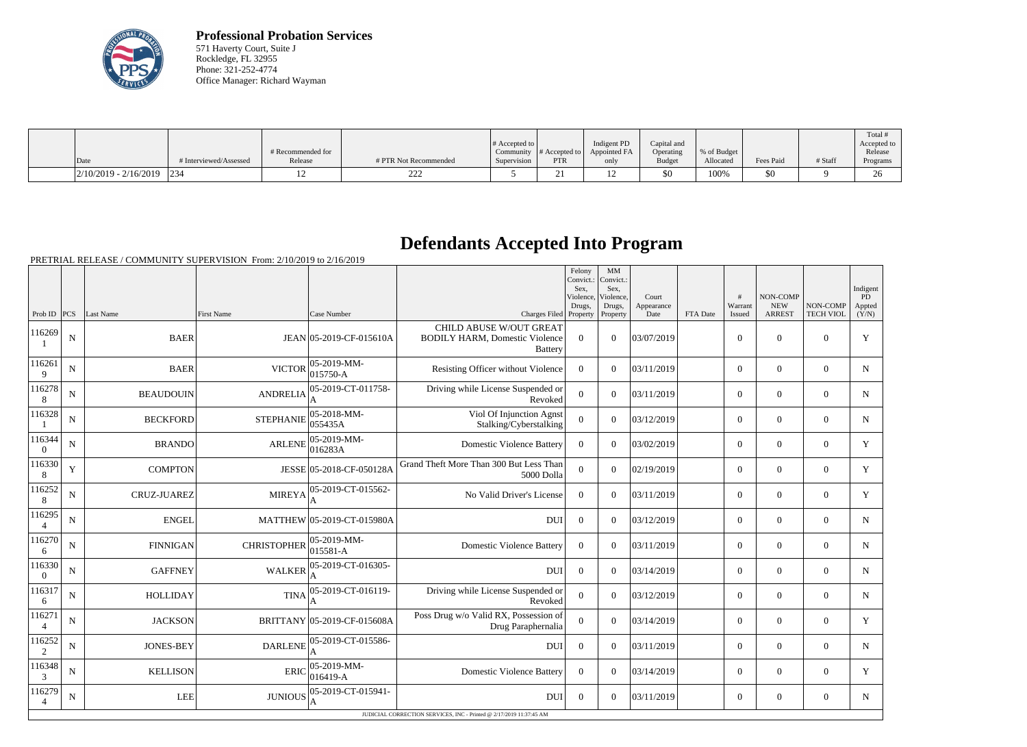

**Professional Probation Services** 571 Haverty Court, Suite J Rockledge, FL 32955 Phone: 321-252-4774 Office Manager: Richard Wayman

|                                                                                        |                        |                   |                       |                       |               |              |               |             |           |         | Total                |
|----------------------------------------------------------------------------------------|------------------------|-------------------|-----------------------|-----------------------|---------------|--------------|---------------|-------------|-----------|---------|----------------------|
|                                                                                        |                        |                   |                       | $\#$ Accepted to $\ $ |               | Indigent PD  | Capital and   |             |           |         | Accepted to          |
|                                                                                        |                        | # Recommended for |                       | Community             | # Accepted to | Appointed FA | Operating     | % of Budget |           |         | Release              |
| Date                                                                                   | # Interviewed/Assessed | Release           | # PTR Not Recommended | Supervision           | <b>PTR</b>    | only         | <b>Budget</b> | Allocated   | Fees Paid | # Staff | Programs             |
| $\left  \frac{2}{10/2019} - \frac{2}{16/2019} \right  \left  \frac{234}{2019} \right $ |                        |                   | $\sim$<br>,,,,,       |                       | ∼.            | ⊥ ∠          | \$0           | 100%        | 50        |         | $\overline{C}$<br>∠∪ |

## **Defendants Accepted Into Program**

PRETRIAL RELEASE / COMMUNITY SUPERVISION From: 2/10/2019 to 2/16/2019

|                          |                                                                     |                    |                    |                                 |                                                                                           | Felony<br>MM<br>Convict.:<br>Convict.:<br>Sex.<br>Sex.<br>Violence,<br>Violence, |                    | Court              |          | $\overline{H}$    | NON-COMP                    |                              | Indigent<br>PD  |
|--------------------------|---------------------------------------------------------------------|--------------------|--------------------|---------------------------------|-------------------------------------------------------------------------------------------|----------------------------------------------------------------------------------|--------------------|--------------------|----------|-------------------|-----------------------------|------------------------------|-----------------|
| Prob ID $ PCS $          |                                                                     | Last Name          | <b>First Name</b>  | Case Number                     | Charges Filed Property                                                                    | Drugs,                                                                           | Drugs,<br>Property | Appearance<br>Date | FTA Date | Warrant<br>Issued | <b>NEW</b><br><b>ARREST</b> | NON-COMP<br><b>TECH VIOL</b> | Appted<br>(Y/N) |
| 116269                   | ${\bf N}$                                                           | <b>BAER</b>        |                    | JEAN 05-2019-CF-015610A         | <b>CHILD ABUSE W/OUT GREAT</b><br><b>BODILY HARM, Domestic Violence</b><br><b>Battery</b> | $\Omega$                                                                         | $\Omega$           | 03/07/2019         |          | $\theta$          | $\Omega$                    | $\Omega$                     | Y               |
| 116261<br>9              | $\mathbf N$                                                         | <b>BAER</b>        | <b>VICTOR</b>      | $ 05-2019-MM-$<br>015750-A      | Resisting Officer without Violence                                                        | $\theta$                                                                         | $\Omega$           | 03/11/2019         |          | $\overline{0}$    | $\theta$                    | $\overline{0}$               | $\mathbf N$     |
| 116278<br>8              | N                                                                   | <b>BEAUDOUIN</b>   | <b>ANDRELIA</b>    | 05-2019-CT-011758-<br>A         | Driving while License Suspended or<br>Revoked                                             | $\Omega$                                                                         | $\Omega$           | 03/11/2019         |          | $\overline{0}$    | $\theta$                    | $\Omega$                     | $\mathbf N$     |
| 116328                   | $\mathbf N$                                                         | <b>BECKFORD</b>    | <b>STEPHANIE</b>   | $ 05 - 2018 - MM -$<br>055435A  | Viol Of Injunction Agnst<br>Stalking/Cyberstalking                                        | $\Omega$                                                                         | $\Omega$           | 03/12/2019         |          | $\overline{0}$    | $\Omega$                    | $\overline{0}$               | $\mathbf N$     |
| 116344<br>$\theta$       | N                                                                   | <b>BRANDO</b>      | <b>ARLENE</b>      | $ 05 - 2019 - MM -$<br> 016283A | <b>Domestic Violence Battery</b>                                                          | $\Omega$                                                                         | $\Omega$           | 03/02/2019         |          | $\Omega$          | $\theta$                    | $\Omega$                     | $\mathbf Y$     |
| 116330<br>8              | Y                                                                   | <b>COMPTON</b>     |                    | JESSE 05-2018-CF-050128A        | Grand Theft More Than 300 But Less Than<br>5000 Dolla                                     | $\Omega$                                                                         | $\Omega$           | 02/19/2019         |          | $\Omega$          | $\theta$                    | $\overline{0}$               | Y               |
| 116252<br>8              | $\mathbf N$                                                         | <b>CRUZ-JUAREZ</b> | <b>MIREYA</b>      | 05-2019-CT-015562-              | No Valid Driver's License                                                                 | $\Omega$                                                                         | $\Omega$           | 03/11/2019         |          | $\overline{0}$    | $\boldsymbol{0}$            | $\overline{0}$               | Y               |
| 116295<br>$\overline{4}$ | $\mathbf N$                                                         | <b>ENGEL</b>       |                    | MATTHEW 05-2019-CT-015980A      | <b>DUI</b>                                                                                | $\overline{0}$                                                                   | $\Omega$           | 03/12/2019         |          | $\overline{0}$    | $\mathbf{0}$                | $\overline{0}$               | $\mathbf N$     |
| 116270<br>6              | $\mathbf N$                                                         | <b>FINNIGAN</b>    | <b>CHRISTOPHER</b> | 05-2019-MM-<br>015581-A         | <b>Domestic Violence Battery</b>                                                          | $\Omega$                                                                         | $\Omega$           | 03/11/2019         |          | $\overline{0}$    | $\mathbf{0}$                | $\overline{0}$               | $\mathbf N$     |
| 116330<br>$\overline{0}$ | ${\bf N}$                                                           | <b>GAFFNEY</b>     | <b>WALKER</b>      | 05-2019-CT-016305-              | <b>DUI</b>                                                                                | $\overline{0}$                                                                   | $\Omega$           | 03/14/2019         |          | $\overline{0}$    | $\overline{0}$              | $\overline{0}$               | $\mathbf N$     |
| 116317<br>6              | N                                                                   | <b>HOLLIDAY</b>    | <b>TINA</b>        | 05-2019-CT-016119-              | Driving while License Suspended or<br>Revoked                                             | $\overline{0}$                                                                   | $\Omega$           | 03/12/2019         |          | $\overline{0}$    | $\theta$                    | $\overline{0}$               | $\mathbf N$     |
| 116271<br>$\overline{4}$ | N                                                                   | <b>JACKSON</b>     |                    | BRITTANY 05-2019-CF-015608A     | Poss Drug w/o Valid RX, Possession of<br>Drug Paraphernalia                               | $\Omega$                                                                         | $\Omega$           | 03/14/2019         |          | $\overline{0}$    | $\theta$                    | $\Omega$                     | Y               |
| 116252<br>2              | $\mathbf N$                                                         | <b>JONES-BEY</b>   | <b>DARLENE</b>     | 05-2019-CT-015586-              | <b>DUI</b>                                                                                | $\boldsymbol{0}$                                                                 | $\Omega$           | 03/11/2019         |          | $\overline{0}$    | $\Omega$                    | $\overline{0}$               | $\mathbf N$     |
| 116348<br>3              | $\mathbf N$                                                         | <b>KELLISON</b>    | <b>ERIC</b>        | 05-2019-MM-<br>$ 016419-A$      | <b>Domestic Violence Battery</b>                                                          | $\theta$                                                                         | $\Omega$           | 03/14/2019         |          | $\overline{0}$    | $\theta$                    | $\overline{0}$               | $\mathbf Y$     |
| 116279<br>$\overline{4}$ | $\mathbf N$                                                         | <b>LEE</b>         | <b>JUNIOUS</b>     | 05-2019-CT-015941-<br>A         | <b>DUI</b>                                                                                | $\theta$                                                                         | $\Omega$           | 03/11/2019         |          | $\overline{0}$    | $\theta$                    | $\Omega$                     | $\mathbf N$     |
|                          | JUDICIAL CORRECTION SERVICES, INC - Printed @ 2/17/2019 11:37:45 AM |                    |                    |                                 |                                                                                           |                                                                                  |                    |                    |          |                   |                             |                              |                 |